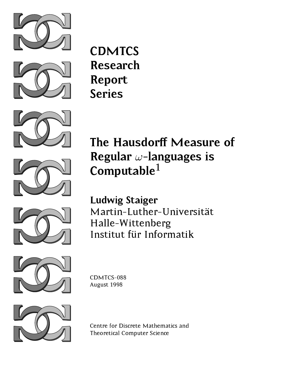











The Hausdor Measure of the Hausdor Measure of the Hausdor Measure of the Hausdor Measure of the Hausdor Measure Regular !-languages is Computable $1$ 

 $\mathcal{L}$  . The state of  $\mathcal{L}$  is the state of  $\mathcal{L}$  . The state of  $\mathcal{L}$ Martin-Luther-Universität Halle-WittenbergInstitut <sup>f</sup> ur Informatik



August 1998



Centre for Discrete Mathematics and Theoretical Computer Science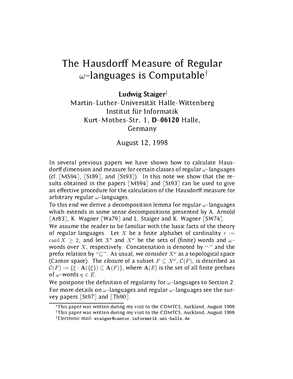# The Hausdor Measure of Regular Measure of Regular Measure of Regular Measure of Regular Measure of Regular Measure of Regular Measure of Regular Measure of Regular Measure of Regular Measure of Regular Measure of Regular M  $\omega$ -languages is Computable<sup>†</sup>

### Luuwig Staiger<sup>t</sup>

### Martin-Luther-Universität Halle-Wittenberg Institut für Informatik Kurt-Mothes-Str. 1, D-06120 Halle, Germany

### August 12, 1998

In several previous papers we have shown how to calculate Hausdorff dimension and measure for certain classes of regular  $\omega$ -languages (cf.  $[MS94]$ ,  $[St89]$ , and  $[St93]$ ). In this note we show that the results obtained in the papers  $[MS94]$  and  $[St93]$  can be used to give an effective procedure for the calculation of the Hausdorff measure for arbitrary regular  $\omega$ -languages.

To this end we derive a decomposition lemma for regular  $\omega$ -languages which extends in some sense decompositions presented by A. Arnold [Ar83], K. Wagner [Wa79] and L. Staiger and K. Wagner [SW74].

We assume the reader to be familiar with the basic facts of the theory of regular languages. Let X be a finite alphabet of cardinality  $r :=$ card  $\Lambda > 2$ , and let  $\Lambda$  and  $\Lambda$  be the sets of (influe) words and  $\omega$ words over X, respectively. Concatenation is denoted by " $\cdot$ " and the prefix relation by " $\sqsubseteq$ ". As usual, we consider  $X^\omega$  as a topological space (Cantor space). The crosure of a subset  $F \subseteq A^+$ ,  $C(F)$ , is described as  $\mathcal{C}(F) := \{\xi : \mathbf{A}(\{\xi\}) \subseteq \mathbf{A}(F)\}\$ , where  $\mathbf{A}(E)$  is the set of all finite prefixes of  $\omega$ -words  $\eta \in E$ .

We postpone the definition of regularity for  $\omega$ -languages to Section 2. For more details on  $\omega$ -languages and regular  $\omega$ -languages see the survey papers [St97] and [Th90].

This paper was written during my visit to the CDMTCS, Auckland, August 1998  $^\dagger$ This paper was written during my visit to the CDMTCS, Auckland, August 1998  $^\ddagger$ Electronic mail: staiger@cantor.informatik.uni-halle.de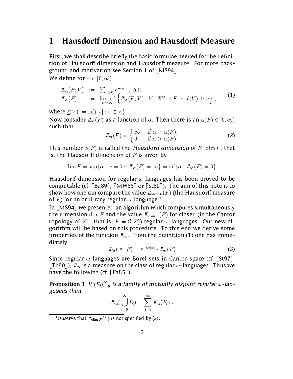#### **Hausdorff Dimension and Hausdorff Measure**  $\mathbf 1$

First, we shall describe briefly the basic formulae needed for the definition of Hausdorff dimension and Hausdorff measure. For more background and motivation see Section 1 of  $\lceil MS94 \rceil$ .

We define for  $\alpha \in [0,\infty)$ 

$$
\begin{array}{rcl}\n\mathbb{L}_{\alpha}(F;V) & := & \sum_{v \in V} r^{-\alpha \cdot |v|}, \text{ and} \\
\mathbb{L}_{\alpha}(F) & := & \liminf_{n \to \infty} \left\{ \mathbb{L}_{\alpha}(F;V) : V \cdot X^{\omega} \supseteq F \ \wedge \ \underline{\ell}(V) \geq n \right\},\n\end{array} \tag{1}
$$

where  $\ell(V) := \inf\{|v| : v \in V\}.$ 

Now consider  $\mathbb{L}_{\alpha}(F)$  as a function of  $\alpha$ . Then there is an  $\alpha(F) \in [0, \infty)$ such that

$$
\underline{\mathit{IL}}_{\alpha}(F) = \begin{cases} \infty, & \text{if } \alpha < \alpha(F), \\ 0, & \text{if } \alpha > \alpha(F). \end{cases} \tag{2}
$$

This number  $\alpha(F)$  is called the Hausdorff dimension of F, dim F, that is, the Hausdorff dimension of  $F$  is given by

$$
\dim F = \sup \{ \alpha : \alpha = 0 \vee L_{\alpha}(F) = \infty \} = \inf \{ \alpha : L_{\alpha}(F) = 0 \}.
$$

Hausdorff dimension for regular  $\omega$ -languages has been proved to be computable (cf. [Ba89], [MW88] or [St89]). The aim of this note is to show how one can compute the value  $\mathbb{L}_{\dim F}(F)$  (the Hausdorff measure of F) for an arbitrary regular  $\omega$ -language.<sup>1</sup>

In [MS94] we presented an algorithm which computes simultaneously the dimension  $\dim F$  and the value  $\mathbb{L}_{\dim F}(F)$  for closed (in the Cantor topology of  $X^*$ , that is,  $F = C(F)$ ) regular  $\omega$ -languages. Our new algorithm will be based on this procedure. To this end we derive some properties of the function  $\mathbb{L}_{\alpha}$ . From the definition (1) one has immediately

$$
I\!I_{\alpha}(w \cdot F) = r^{-\alpha \cdot |w|} \cdot I\!I_{\alpha}(F) \tag{3}
$$

Since regular  $\omega$ -languages are Borel sets in Cantor space (cf. [St97], [Th90]),  $\mathbb{L}_{\alpha}$  is a measure on the class of regular  $\omega$ -languages. Thus we have the following (cf. [Fa85]).

**Proposition 1** If  $(F_i)_{i=0}$  is a family of mutually disjoint regular  $\omega$ -languages then

$$
I\!\!L_{\alpha}(\bigcup_{i=0}^{\infty} F_i) = \sum_{i=0}^{\infty} I\!\!L_{\alpha}(F_i) .
$$

<sup>&</sup>lt;sup>1</sup>Observe that  $\mathbb{L}_{\dim F}(F)$  is not specified by (2).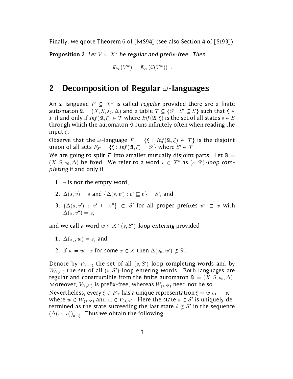Finally, we quote Theorem 6 of  $[MS94]$  (see also Section 4 of  $[St93]$ ).

**Proposition 2** Let  $V \subseteq X^*$  be regular and prefix-free. Then

$$
\mathcal{L}_{\alpha}(V^{\omega}) = \mathcal{L}_{\alpha}(\mathcal{C}(V^{\omega})) .
$$

# 2 Decomposition of Regular  $\omega$ -languages

An  $\omega$ -language  $F \subseteq X^*$  is called regular provided there are a milte automaton  $\mathfrak{A} = (X, S, s_0, \Delta)$  and a table  $\mathcal{T} \subseteq \{S': S' \subseteq S\}$  such that  $\xi \in \mathcal{S}$ F if and only if  $Inf(\mathfrak{A}, \xi) \in \mathcal{T}$  where  $Inf(\mathfrak{A}, \xi)$  is the set of all states  $s \in S$ through which the automaton  $\mathfrak A$  runs infinitely often when reading the input  $\xi$ .

Observe that the  $\omega$ -language  $F = \{\xi : Inf(\mathfrak{A}, \xi) \in \mathcal{T}\}\$ is the disjoint union of all sets  $F_{S'} = \{\xi : Inf(\mathfrak{A}, \xi) = S'\}$  where  $S' \in \mathcal{T}$ .

We are going to split F into smaller mutually disjoint parts. Let  $\mathfrak{A} =$  $(X, S, s_0, \Delta)$  be fixed. We refer to a word  $v \in X^*$  as  $(s, S')$ -loop completing if and only if

- 1.  $v$  is not the empty word,
- $2. \Delta(s, v) \equiv s$  and  $\{ \Delta(s, v) : v \sqsubseteq v \} \equiv S$ , and
- 3.  $\{\Delta(s, v) : v \sqsubset v \} \subset S$  for all proper prefixes  $v \sqsubset v$  with  $\Delta(s, v'') = s$ ,

and we call a word  $w \in X^*$  (s, S')-loop entering provided

- 1.  $\Delta(s_0, w) = s$ , and
- 2. if  $w = w' \cdot x$  for some  $x \in X$  then  $\Delta(s_0, w') \notin S'$ .

Denote by  $V_{(s,S')}$  the set of all  $(s, S')$ -loop completing words and by  $W_{(s, S')}$  the set of all  $(s, S')$ -loop entering words. Both languages are regular and constructible from the finite automaton  $\mathfrak{A} = (X, S, s_0, \Delta)$ . Moreover,  $V_{(s, S')}$  is prefix-free, whereas  $W_{(s, S')}$  need not be so. Nevertheless, every  $\xi \in F_{S'}$  has a unique representation  $\xi = w \cdot v_1 \cdots v_i \cdots$ where  $w \in W_{(s,S')}$  and  $v_i \in V_{(s,S')}$ . Here the state  $s \in S'$  is uniquely determined as the state succeeding the last state  $\hat{s} \notin S'$  in the sequence  $(\Delta(s_0, u))_{u \in \mathcal{E}}$ . Thus we obtain the following.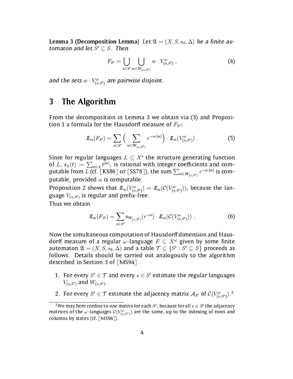**Lemma 3 (Decomposition Lemma)** Let  $\mathfrak{A} = (X, S, s_0, \Delta)$  be a finite automaton and let  $S' \subseteq S$ . Then

$$
F_{S'} = \bigcup_{s \in S'} \bigcup_{w \in W_{(s,S')}} w \cdot V_{(s,S')}^{\omega} , \qquad (4)
$$

and the sets  $w \cdot v_{(s,S')}$  are pairwise disjoint.

#### The Algorithm 3

From the decomposition in Lemma 3 we obtain via (3) and Proposition 1 a formula for the Hausdorff measure of  $F_{S'}$ :

$$
\underline{L}_{\alpha}(F_{S'}) = \sum_{s \in S'} \left( \sum_{w \in W_{(s,S')}} r^{-\alpha \cdot |w|} \right) \cdot \underline{L}_{\alpha}(V_{(s,S')}^{\omega}) \ . \tag{5}
$$

Since for regular languages  $L \subseteq X^*$  the structure generating function of L,  $\mathfrak{s}_L(t) := \sum_{w \in L} t^{|w|}$ , is rational with integer coefficients and computable from  $L$  (cf. [KS86] or [SS78]), the sum  $\sum_{w\in W_{(s,S')}} r^{-\alpha\cdot|w|}$  is computable, provided  $\alpha$  is computable.

Proposition 2 shows that  $\mu_{\alpha}(V_{(s,S')} ) = \mu_{\alpha}(C(V_{(s,S')}))$ , because the language  $V_{(s,s')}$  is regular and prefix-free.

Thus we obtain

$$
\underline{L}_{\alpha}(F_{S'}) = \sum_{s \in S'} \mathfrak{s}_{W_{(s,S')}}(r^{-\alpha}) \cdot \underline{L}_{\alpha}(\mathcal{C}(V_{(s,S')}^{\omega})) . \tag{6}
$$

Now the simultaneous computation of Hausdorff dimension and Hausdorff measure of a regular  $\omega$ -language  $F \subseteq X^{\omega}$  given by some finite automaton  $\mathfrak{A} = (X, S, s_0, \Delta)$  and a table  $\mathcal{T} \subset \{S' : S' \subset S\}$  proceeds as follows. Details should be carried out analogously to the algorithm described in Section 3 of [MS94].

- 1. For every  $S' \in \mathcal{T}$  and every  $s \in S'$  estimate the regular languages  $V_{(s,S')}$  and  $W_{(s,S')}$ .
- 2. For every  $S \in I$  estimate the adjacency matrix  $\mathcal{A}_{S'}$  of  $C(V_{(s,S')}^T)$ .

<sup>&</sup>lt;sup>2</sup>We may here confine to one matrix for each S', because for all  $s \in S'$  the adjacency matrices of the  $\omega$ -languages  $C(V_{(s, S')} )$  are the same, up to the indexing of rows and columns by states (cf. [MS94]).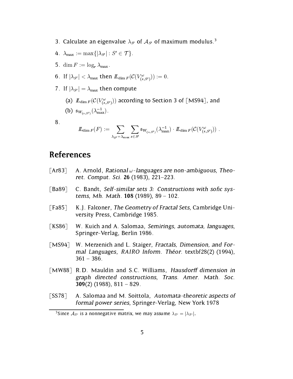- 3. Calculate an eigenvalue  $\lambda_{S'}$  of  $A_{S'}$  of maximum modulus.<sup>3</sup>
- 4.  $\lambda_{\max} := \max\{|\lambda_{S'}| : S' \in \mathcal{T}\}.$
- 5. dim  $F := \log_r \lambda_{\max}$ .
- 0. If  $|\lambda S'| \leq \lambda_{\max}$  then  $L_{\dim F}(\mathcal{C}(V_{(s,S')}) ) := 0$ .
- 7. If  $|\lambda_{S'}| = \lambda_{\max}$  then compute
	- (a)  $L_{\dim F}(\mathcal{C}(V_{(s,S')}) )$  according to Section 3 of [MS94], and (b)  $\mathfrak{s}_{W_{(s,s')}}(\lambda_{\max}^{-1})$ .
- 

$$
I\!\!L_{\dim F}(F) := \sum_{\lambda_{S'} = \lambda_{\max}} \sum_{s \in S'} \mathfrak{s}_{W_{(s,S')}}(\lambda_{\max}^{-1}) \cdot I\!\!L_{\dim F}(\mathcal{C}(V_{(s,S')}^{\omega}))\;.
$$

## References

- [Ar83] A. Arnold, Rational  $\omega$ -languages are non-ambiguous, Theoret. Comput. Sci. 26 (1983), 221-223.
- $\lceil$ Ba89 $\rceil$  C. Bandt, Self-similar sets 3: Constructions with sofic systems, Mh. Math.  $108$  (1989),  $89 - 102$ .
- [Fa85] K.J. Falconer, The Geometry of Fractal Sets, Cambridge University Press, Cambridge 1985.
- [KS86] W. Kuich and A. Salomaa, Semirings, automata, languages, Springer-Verlag, Berlin 1986.
- [MS94] W. Merzenich and L. Staiger, Fractals, Dimension, and Formal Languages, RAIRO Inform. Théor. textbf28(2) (1994),  $361 - 386$ .
- [MW88] R.D. Mauldin and S.C. Williams, Hausdorff dimension in graph directed constructions, Trans. Amer. Math. Soc. 309 $(2)$  (1988), 811 – 829.
- [SS78] A. Salomaa and M. Soittola, Automata-theoretic aspects of formal power series, Springer-Verlag, New York 1978

<sup>&</sup>lt;sup>3</sup>Since  $A_{S'}$  is a nonnegative matrix, we may assume  $\lambda_{S'} = |\lambda_{S'}|$ .